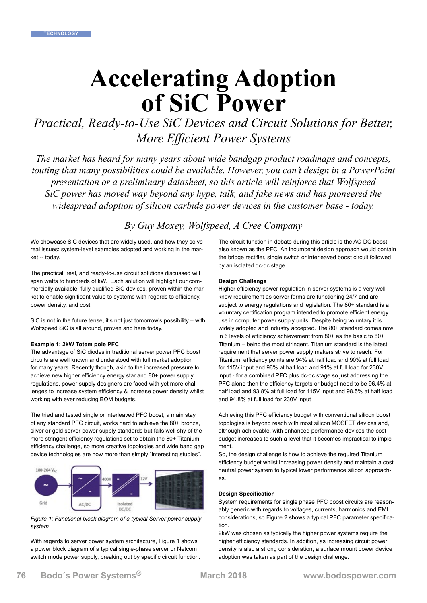# **Accelerating Adoption of SiC Power**

*Practical, Ready-to-Use SiC Devices and Circuit Solutions for Better, More Efficient Power Systems*

*The market has heard for many years about wide bandgap product roadmaps and concepts, touting that many possibilities could be available. However, you can't design in a PowerPoint presentation or a preliminary datasheet, so this article will reinforce that Wolfspeed SiC power has moved way beyond any hype, talk, and fake news and has pioneered the widespread adoption of silicon carbide power devices in the customer base - today.*

*By Guy Moxey, Wolfspeed, A Cree Company*

We showcase SiC devices that are widely used, and how they solve real issues: system-level examples adopted and working in the market -- today.

The practical, real, and ready-to-use circuit solutions discussed will span watts to hundreds of kW. Each solution will highlight our commercially available, fully qualified SiC devices, proven within the market to enable significant value to systems with regards to efficiency, power density, and cost.

SiC is not in the future tense, it's not just tomorrow's possibility – with Wolfspeed SiC is all around, proven and here today.

#### **Example 1: 2kW Totem pole PFC**

The advantage of SiC diodes in traditional server power PFC boost circuits are well known and understood with full market adoption for many years. Recently though, akin to the increased pressure to achieve new higher efficiency energy star and 80+ power supply regulations, power supply designers are faced with yet more challenges to increase system efficiency & increase power density whilst working with ever reducing BOM budgets.

The tried and tested single or interleaved PFC boost, a main stay of any standard PFC circuit, works hard to achieve the 80+ bronze, silver or gold server power supply standards but falls well shy of the more stringent efficiency regulations set to obtain the 80+ Titanium efficiency challenge, so more creative topologies and wide band gap device technologies are now more than simply "interesting studies".



*Figure 1: Functional block diagram of a typical Server power supply system*

With regards to server power system architecture, Figure 1 shows a power block diagram of a typical single-phase server or Netcom switch mode power supply, breaking out by specific circuit function. The circuit function in debate during this article is the AC-DC boost, also known as the PFC. An incumbent design approach would contain the bridge rectifier, single switch or interleaved boost circuit followed by an isolated dc-dc stage.

### **Design Challenge**

Higher efficiency power regulation in server systems is a very well know requirement as server farms are functioning 24/7 and are subject to energy regulations and legislation. The 80+ standard is a voluntary certification program intended to promote [efficient energy](https://en.wikipedia.org/wiki/Efficient_energy_use)  [use](https://en.wikipedia.org/wiki/Efficient_energy_use) in [computer power supply](https://en.wikipedia.org/wiki/Computer_power_supply) units. Despite being voluntary it is widely adopted and industry accepted. The 80+ standard comes now in 6 levels of efficiency achievement from 80+ as the basic to 80+ Titanium – being the most stringent. Titanium standard is the latest requirement that server power supply makers strive to reach. For Titanium, efficiency points are 94% at half load and 90% at full load for 115V input and 96% at half load and 91% at full load for 230V input - for a combined PFC plus dc-dc stage so just addressing the PFC alone then the efficiency targets or budget need to be 96.4% at half load and 93.8% at full load for 115V input and 98.5% at half load and 94.8% at full load for 230V input

Achieving this PFC efficiency budget with conventional silicon boost topologies is beyond reach with most silicon MOSFET devices and, although achievable, with enhanced performance devices the cost budget increases to such a level that it becomes impractical to implement.

So, the design challenge is how to achieve the required Titanium efficiency budget whilst increasing power density and maintain a cost neutral power system to typical lower performance silicon approaches.

#### **Design Specification**

System requirements for single phase PFC boost circuits are reasonably generic with regards to voltages, currents, harmonics and EMI considerations, so Figure 2 shows a typical PFC parameter specification.

2kW was chosen as typically the higher power systems require the higher efficiency standards. In addition, as increasing circuit power density is also a strong consideration, a surface mount power device adoption was taken as part of the design challenge.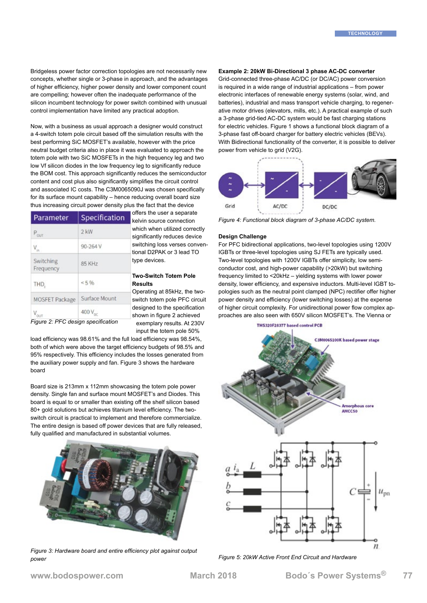Bridgeless power factor correction topologies are not necessarily new concepts, whether single or 3-phase in approach, and the advantages of higher efficiency, higher power density and lower component count are compelling; however often the inadequate performance of the silicon incumbent technology for power switch combined with unusual control implementation have limited any practical adoption.

Now, with a business as usual approach a designer would construct a 4-switch totem pole circuit based off the simulation results with the best performing SiC MOSFET's available, however with the price neutral budget criteria also in place it was evaluated to approach the totem pole with two SiC MOSFETs in the high frequency leg and two low Vf silicon diodes in the low frequency leg to significantly reduce the BOM cost. This approach significantly reduces the semiconductor content and cost plus also significantly simplifies the circuit control and associated IC costs. The C3M0065090J was chosen specifically for its surface mount capability – hence reducing overall board size thus increasing circuit power density plus the fact that the device

| Parameter                                     | Specification       | une<br>kel                              |
|-----------------------------------------------|---------------------|-----------------------------------------|
| $P_{\text{out}}$                              | $2$ kW              | whi<br>sigr                             |
| $\mathsf{V}_{\scriptscriptstyle \mathsf{in}}$ | 90-264 V            | swit<br>tion                            |
| Switching<br>Frequency                        | 85 KHz              | type<br><b>Two</b><br><b>Res</b><br>Ope |
| THD.                                          | 5%                  |                                         |
| <b>MOSFET Package</b>                         | Surface Mount       | swit                                    |
|                                               | 400 V <sub>oc</sub> | des<br>sho                              |

offers the user a separate in source connection ch when utilized correctly hificantly reduces device tching loss verses convenal D2PAK or 3 lead TO type devices.

#### **Two-Switch Totem Pole Results**

erating at 85kHz, the twotch totem pole PFC circuit igned to the specification wn in figure 2 achieved exemplary results. At 230V input the totem pole 50%

*Figure 2: PFC design specification*

load efficiency was 98.61% and the full load efficiency was 98.54%, both of which were above the target efficiency budgets of 98.5% and 95% respectively. This efficiency includes the losses generated from the auxiliary power supply and fan. Figure 3 shows the hardware board

Board size is 213mm x 112mm showcasing the totem pole power density. Single fan and surface mount MOSFET's and Diodes. This board is equal to or smaller than existing off the shelf silicon based 80+ gold solutions but achieves titanium level efficiency. The twoswitch circuit is practical to implement and therefore commercialize. The entire design is based off power devices that are fully released, fully qualified and manufactured in substantial volumes.



*Figure 3: Hardware board and entire efficiency plot against output power*

# **Example 2: 20kW Bi-Directional 3 phase AC-DC converter**

Grid-connected three-phase AC/DC (or DC/AC) power conversion is required in a wide range of industrial applications – from power electronic interfaces of renewable energy systems (solar, wind, and batteries), industrial and mass transport vehicle charging, to regenerative motor drives (elevators, mills, etc.). A practical example of such a 3-phase grid-tied AC-DC system would be fast charging stations for electric vehicles. Figure 1 shows a functional block diagram of a 3-phase fast off-board charger for battery electric vehicles (BEVs). With Bidirectional functionality of the converter, it is possible to deliver power from vehicle to grid (V2G).



*Figure 4: Functional block diagram of 3-phase AC/DC system.*

## **Design Challenge**

For PFC bidirectional applications, two-level topologies using 1200V IGBTs or three-level topologies using SJ FETs are typically used. Two-level topologies with 1200V IGBTs offer simplicity, low semiconductor cost, and high-power capability (>20kW) but switching frequency limited to <20kHz – yielding systems with lower power density, lower efficiency, and expensive inductors. Multi-level IGBT topologies such as the neutral point clamped (NPC) rectifier offer higher power density and efficiency (lower switching losses) at the expense of higher circuit complexity. For unidirectional power flow complex approaches are also seen with 650V silicon MOSFET's. The Vienna or



*Figure 5: 20kW Active Front End Circuit and Hardware*